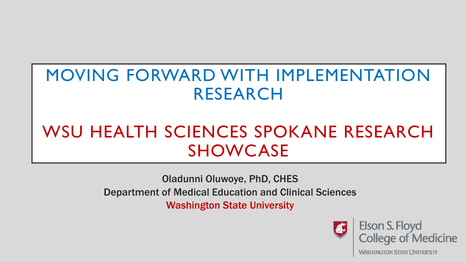## MOVING FORWARD WITH IMPLEMENTATION RESEARCH

# WSU HEALTH SCIENCES SPOKANE RESEARCH SHOWCASE

Oladunni Oluwoye, PhD, CHES Department of Medical Education and Clinical Sciences Washington State University



Elson S. Floyd **College of Medicine** 

**WASHINGTON STATE UNIVERSITY**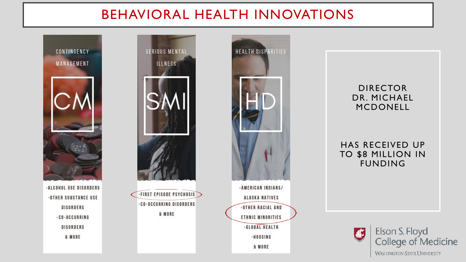### BEHAVIORAL HEALTH INNOVATIONS



-ALCOHOL USE DISORDERS -OTHER SUBSTANCE USE **DISORDERS** -CO-OCCURRING **DISORDERS** & MORE





#### DIRECTOR DR. MICHAEL MCDONELL

HAS RECEIVED UP TO \$8 MILLION IN FUNDING

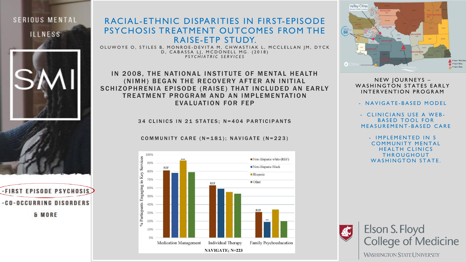

-FIRST EPISODE PSYCHOSIS

-CO-OCCURRING DISORDERS

& MORE

#### RACIAL-ETHNIC DISPARITIES IN FIRST-EPISODE PSYCHOSIS TREATMENT OUTCOMES FROM THE RAISE-ETP STUDY.

OLUWOYE O, STILES B, MONROE-DEVITA M, CHWASTIAK L, MCCLELLAN | M, DYCK D, CABASSA LJ, MCDONELL MG. (2018) *P S Y C H I A T R I C S E R V I C E S*

IN 2008, THE NATIONAL INSTITUTE OF MENTAL HEALTH (NIMH) BEGAN THE RECOVERY AFTER AN INITIAL SCHIZOPHRENIA EPISODE (RAISE) THAT INCLUDED AN EARLY TREATMENT PROGRAM AND AN IMPLEMENTATION EVALUATION FOR FEP

34 CLINICS IN 21 STATES; N=404 PARTICIPANTS

COMMUNITY CARE  $(N=181)$ ; NAVIGATE  $(N=223)$ 





NEW JOURNEYS -WASHINGTON STATES EARLY INTERVENTION PROGRAM

- NAVIGATE-BASED MODEL

- CLINICIANS USE A WEB-**BASED TOOL FOR** MEASUREMENT-BASED CARE

- IMPLEMENTED IN 5 **COMMUNITY MENTAL HEALTH CLINICS THROUGHOUT** WASHINGTON STATE.